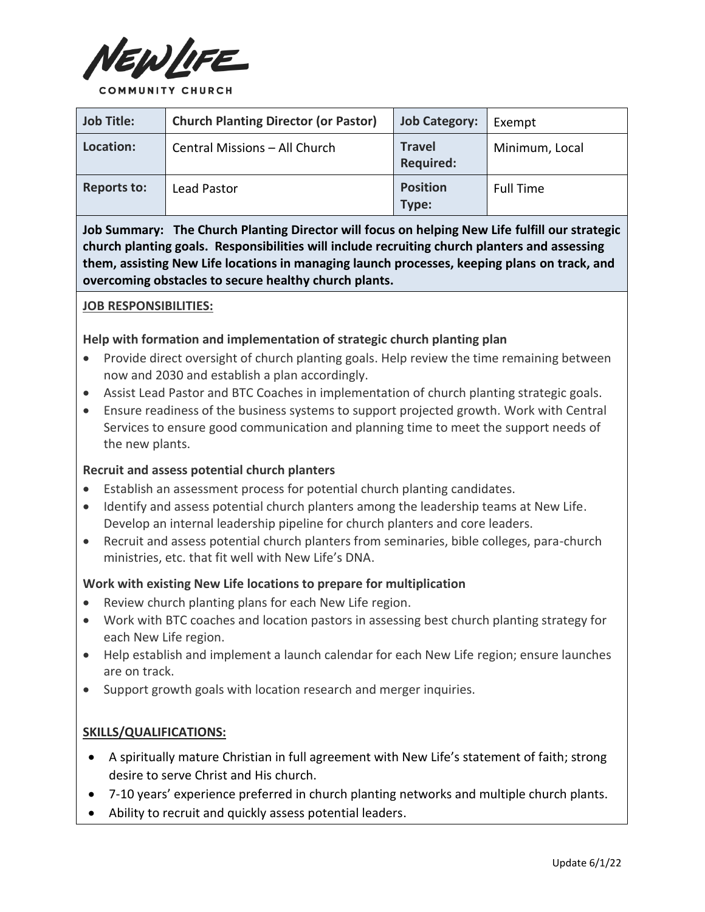

**COMMUNITY CHURCH** 

| <b>Job Title:</b>  | <b>Church Planting Director (or Pastor)</b> | <b>Job Category:</b>              | Exempt           |
|--------------------|---------------------------------------------|-----------------------------------|------------------|
| Location:          | Central Missions - All Church               | <b>Travel</b><br><b>Required:</b> | Minimum, Local   |
| <b>Reports to:</b> | Lead Pastor                                 | <b>Position</b><br>Type:          | <b>Full Time</b> |

**Job Summary: The Church Planting Director will focus on helping New Life fulfill our strategic church planting goals. Responsibilities will include recruiting church planters and assessing them, assisting New Life locations in managing launch processes, keeping plans on track, and overcoming obstacles to secure healthy church plants.**

## **JOB RESPONSIBILITIES:**

## **Help with formation and implementation of strategic church planting plan**

- Provide direct oversight of church planting goals. Help review the time remaining between now and 2030 and establish a plan accordingly.
- Assist Lead Pastor and BTC Coaches in implementation of church planting strategic goals.
- Ensure readiness of the business systems to support projected growth. Work with Central Services to ensure good communication and planning time to meet the support needs of the new plants.

# **Recruit and assess potential church planters**

- Establish an assessment process for potential church planting candidates.
- Identify and assess potential church planters among the leadership teams at New Life. Develop an internal leadership pipeline for church planters and core leaders.
- Recruit and assess potential church planters from seminaries, bible colleges, para-church ministries, etc. that fit well with New Life's DNA.

# **Work with existing New Life locations to prepare for multiplication**

- Review church planting plans for each New Life region.
- Work with BTC coaches and location pastors in assessing best church planting strategy for each New Life region.
- Help establish and implement a launch calendar for each New Life region; ensure launches are on track.
- Support growth goals with location research and merger inquiries.

### **SKILLS/QUALIFICATIONS:**

- A spiritually mature Christian in full agreement with New Life's statement of faith; strong desire to serve Christ and His church.
- 7-10 years' experience preferred in church planting networks and multiple church plants.
- Ability to recruit and quickly assess potential leaders.